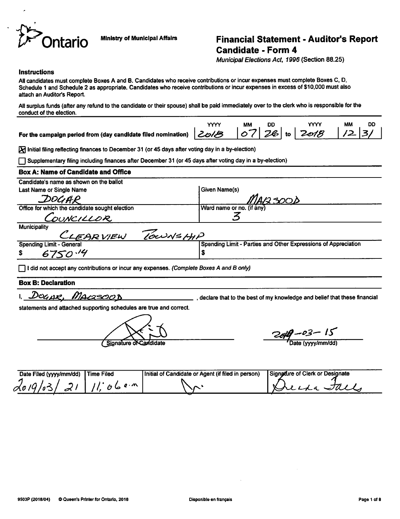

# *Jr- Ontario Mlni8try °f Munlclpal Affairs Financial Statement - Auditor's Report Candidate - Form 4*

**Municipal Elections Act, 1996** (Section 88.25)

*YYYY MM DD YYYY MM DD*

#### Instructions

All candidates must complete Boxes A and B. Candidates who receive contributions or incur expenses must complete Boxes C, D, Schedule 1 and Schedule 2 as appropriate. Candidates who receive contributions or incur expenses in excess of \$10,000 must also attach an Auditor's Report.

All surplus funds (after any refund to the candidate or their spouse) shall be paid immediately over to the clerk who is responsible for the conduct of the election.

Forthe campaign period from (day candidate filed nomination) <sup>|</sup> **&o/& \& <sup>t</sup> '2&\** to <sup>|</sup> **\*2^rf& \ J2- \**3/

 $\overline{X}$  Initial filing reflecting finances to December 31 (or 45 days after voting day in a by-election)

• Supplementary filing including finances after December 31 (or 45daysafter voting dayina by-election)

# **Box A: Name of Candidate and Office**

Candidate's name as shown on the ballot

Last Name or Single Name Given Name (s) DOGAR Office for which the candidate sought election Ward name or no. (if *3* DUNCILLOR **Municipality** *'7&t^>\*/£>MtP*

\$

AR VIEW Spending Limit - General

*\* 67SO/£f*

|~) 1did notacceptanycontributions orincur anyexpenses. **(Complete Boxes A and B only)**

## *Box* B: Declaration

DOGAR, MACSOOB **Show that is a set of my knowledge and belief that these financial** 

Spending Limit- Parties and Other Expressions of Appreciation

statements and attached supporting schedules are true and correct.

Signature of Candidate

*~^j?- /r*

Date (yyyy/mm/dd)

| Date Filed (yyyy/mm/dd) Time Filed | Initial of Candidate or Agent (if filed in person) | Signature of Clerk or Designate |
|------------------------------------|----------------------------------------------------|---------------------------------|
| 2019/03/21/11.064m                 |                                                    | Decka Jack                      |
|                                    |                                                    |                                 |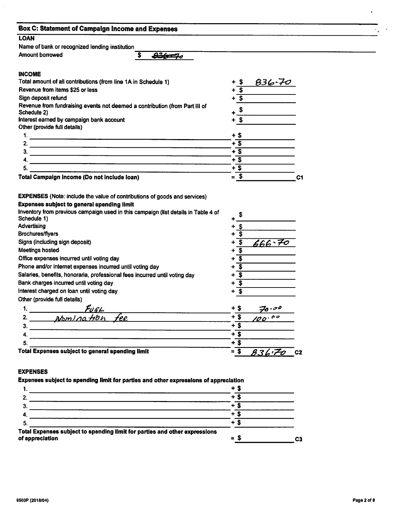| <b>LOAN</b>                                                                                                                                                                                                                                |                                           |  |
|--------------------------------------------------------------------------------------------------------------------------------------------------------------------------------------------------------------------------------------------|-------------------------------------------|--|
| Name of bank or recognized lending institution                                                                                                                                                                                             |                                           |  |
| <b>Amount borrowed</b><br>\$<br>$236 - 70$                                                                                                                                                                                                 |                                           |  |
| <b>INCOME</b>                                                                                                                                                                                                                              |                                           |  |
| Total amount of all contributions (from line 1A in Schedule 1)                                                                                                                                                                             | $+$ \$<br>$836 - 70$                      |  |
| Revenue from items \$25 or less                                                                                                                                                                                                            | $\overline{\mathbf{s}}$                   |  |
| Sign deposit refund                                                                                                                                                                                                                        | + T                                       |  |
| Revenue from fundraising events not deemed a contribution (from Part III of                                                                                                                                                                |                                           |  |
| Schedule 2)                                                                                                                                                                                                                                | $+$ $\frac{\sqrt{5}}{2}$                  |  |
| Interest earned by campaign bank account                                                                                                                                                                                                   | $+$ \$                                    |  |
| Other (provide full details)                                                                                                                                                                                                               |                                           |  |
|                                                                                                                                                                                                                                            | $+$ \$                                    |  |
|                                                                                                                                                                                                                                            | $+$ \$                                    |  |
|                                                                                                                                                                                                                                            | $+$ \$<br>$+$ \$                          |  |
| <u> 1980 - Andrea Andrew Barbara, Amerikaansk politik (</u>                                                                                                                                                                                | $+$ \$                                    |  |
| 5.<br>Total Campaign Income (Do not include loan)                                                                                                                                                                                          | $=$ \$                                    |  |
|                                                                                                                                                                                                                                            |                                           |  |
| <b>EXPENSES</b> (Note: include the value of contributions of goods and services)<br><b>Expenses subject to general spending limit</b><br>Inventory from previous campaign used in this campaign (list details in Table 4 of<br>Schedule 1) | \$                                        |  |
| Advertising                                                                                                                                                                                                                                | $+$ \$                                    |  |
| <b>Brochures/flyers</b>                                                                                                                                                                                                                    | $+$ \$                                    |  |
| Signs (including sign deposit)                                                                                                                                                                                                             | $666 - 70$<br>$+$ \$                      |  |
| Meetings hosted                                                                                                                                                                                                                            | $+\overline{\$}$                          |  |
| Office expenses incurred until voting day                                                                                                                                                                                                  | $+\overline{\$}$                          |  |
| Phone and/or internet expenses incurred until voting day                                                                                                                                                                                   | $+\overline{\$}$                          |  |
| Salaries, benefits, honoraria, professional fees incurred until voting day                                                                                                                                                                 | $\boldsymbol{\mathsf{s}}$<br>÷            |  |
| Bank charges incurred until voting day                                                                                                                                                                                                     | $\boldsymbol{\hat{s}}$<br>÷               |  |
| Interest charged on loan until voting day                                                                                                                                                                                                  | $+$ \$                                    |  |
| Other (provide full details)                                                                                                                                                                                                               |                                           |  |
| <u>Fuel</u>                                                                                                                                                                                                                                | + \$<br>70.00                             |  |
| <u>Momination fee</u>                                                                                                                                                                                                                      | $+$ \$<br>100.00                          |  |
| З.                                                                                                                                                                                                                                         | $+\overline{\$}$                          |  |
|                                                                                                                                                                                                                                            | $+$ \$                                    |  |
| 5.<br>Total Expenses subject to general spending limit                                                                                                                                                                                     | $+$ $\overline{\$}$<br>$= $$<br>836.Zo c2 |  |

Expenses subject to spending limit *for* parties and other expressions of appreciation

| whenieve applies in abouting mill the bactic and and and about a showarding at abbitanting    | + S           |    |
|-----------------------------------------------------------------------------------------------|---------------|----|
|                                                                                               | +             |    |
|                                                                                               |               |    |
|                                                                                               |               |    |
|                                                                                               | ٠             |    |
| Total Expenses subject to spending limit for parties and other expressions<br>of appreciation | Я<br>$\equiv$ | C3 |

 $\mathbf{A}^{(1)}$  and  $\mathbf{A}^{(2)}$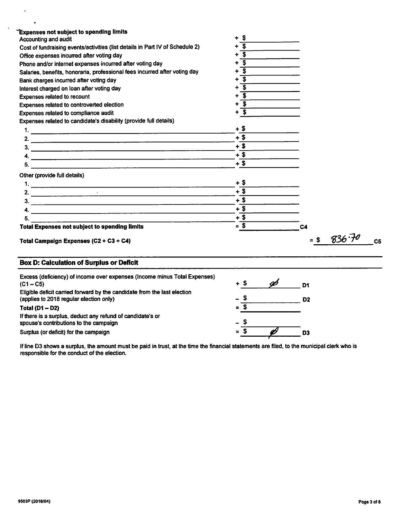| Expenses not subject to spending limits<br>Accounting and audit                                                     | + S                        |                      |
|---------------------------------------------------------------------------------------------------------------------|----------------------------|----------------------|
| Cost of fundraising events/activities (list details in Part IV of Schedule 2)                                       | $\overline{\mathbf{s}}$    |                      |
| Office expenses incurred after voting day                                                                           | $\overline{\mathbf{s}}$    |                      |
| Phone and/or internet expenses incurred after voting day                                                            | $\overline{\mathbf{s}}$    |                      |
| Salaries, benefits, honoraria, professional fees incurred after voting day                                          | $\overline{\mathbf{s}}$    |                      |
| Bank charges incurred after voting day                                                                              | ิริ                        |                      |
| Interest charged on loan after voting day                                                                           | + s                        |                      |
| Expenses related to recount                                                                                         | $+\overline{\mathbf{S}}$   |                      |
| Expenses related to controverted election                                                                           | $+ 5$                      |                      |
| Expenses related to compliance audit                                                                                | $+$ \$                     |                      |
| Expenses related to candidate's disability (provide full details)                                                   |                            |                      |
|                                                                                                                     | $+$ \$                     |                      |
| 2. $\overline{\phantom{a}}$                                                                                         | $+$ \$                     |                      |
| 3.                                                                                                                  | $+$ \$                     |                      |
| 4. $\overline{\phantom{a}}$                                                                                         | $+$ \$                     |                      |
|                                                                                                                     | $+$ \$                     |                      |
| Other (provide full details)                                                                                        |                            |                      |
|                                                                                                                     | $+$ \$                     |                      |
|                                                                                                                     | $+$ \$                     |                      |
|                                                                                                                     | $+$ \$                     |                      |
|                                                                                                                     | $+$ \$                     |                      |
| 5.                                                                                                                  | $+$ \$                     |                      |
| <b>Total Expenses not subject to spending limits</b>                                                                | $=\sqrt{2}$                | C4                   |
| Total Campaign Expenses (C2 + C3 + C4)                                                                              |                            | $836 - 70$<br>$=$ \$ |
| <b>Box D: Calculation of Surplus or Deficit</b>                                                                     |                            |                      |
| Excess (deficiency) of income over expenses (Income minus Total Expenses)<br>$(C1 - C5)$                            | Ø<br>$+$ \$                | D <sub>1</sub>       |
| Eligible deficit carried forward by the candidate from the last election<br>(applies to 2018 regular election only) | . S                        | D <sub>2</sub>       |
| Total $(D1 - D2)$                                                                                                   | $= S$                      |                      |
| If there is a surplus, deduct any refund of candidate's or                                                          |                            |                      |
| spouse's contributions to the campaign                                                                              |                            |                      |
|                                                                                                                     | $=$ S $-$<br>$\mathscr{O}$ |                      |

Ifline D3 shows a surplus, the amount must be paid in trust, at the time the financial statements are filed, to the municipal clerk who is responsible for the conduct of the election.

 $\sim$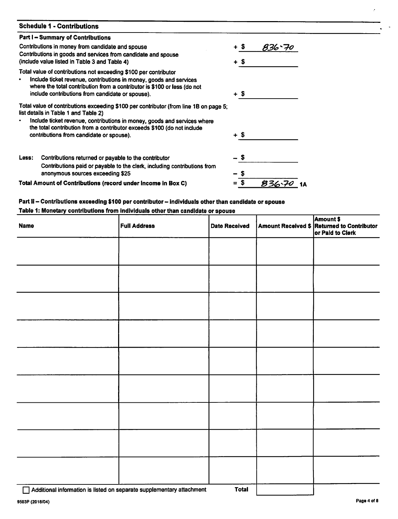| <b>Schedule 1 - Contributions</b>                                                                                                                   |      |         |
|-----------------------------------------------------------------------------------------------------------------------------------------------------|------|---------|
| <b>Part I – Summary of Contributions</b>                                                                                                            |      |         |
| Contributions in money from candidate and spouse                                                                                                    | + \$ | 836`70  |
| Contributions in goods and services from candidate and spouse                                                                                       |      |         |
| (include value listed in Table 3 and Table 4)                                                                                                       | + \$ |         |
| Total value of contributions not exceeding \$100 per contributor                                                                                    |      |         |
| Include ticket revenue, contributions in money, goods and services<br>where the total contribution from a contributor is \$100 or less (do not      |      |         |
| include contributions from candidate or spouse).                                                                                                    | + \$ |         |
| Total value of contributions exceeding \$100 per contributor (from line 1B on page 5;<br>list details in Table 1 and Table 2)                       |      |         |
| Include ticket revenue, contributions in money, goods and services where<br>the total contribution from a contributor exceeds \$100 (do not include |      |         |
| contributions from candidate or spouse).                                                                                                            | + \$ |         |
| Contributions returned or payable to the contributor<br>Less:                                                                                       |      |         |
| Contributions paid or payable to the clerk, including contributions from                                                                            |      |         |
| anonymous sources exceeding \$25                                                                                                                    |      |         |
| Total Amount of Contributions (record under income in Box C)                                                                                        |      | $836 -$ |

# *Part II- Contributions exceeding \$100 per contributor- individuals other than candidate or spouse*

# *Table 1: Monetary contributions from Individuals other than candidate or spouse*

| <b>Name</b> | <b>Full Address</b> | <b>Date Received</b> | <b>Amount \$</b><br>Amount Received \$ Returned to Contributor<br>or Paid to Clerk |
|-------------|---------------------|----------------------|------------------------------------------------------------------------------------|
|             |                     |                      |                                                                                    |
|             |                     |                      |                                                                                    |
|             |                     |                      |                                                                                    |
|             |                     |                      |                                                                                    |
|             |                     |                      |                                                                                    |
|             |                     |                      |                                                                                    |
|             |                     |                      |                                                                                    |
|             |                     |                      |                                                                                    |
|             |                     |                      |                                                                                    |
|             |                     |                      |                                                                                    |

□ Additional information is listed on separate supplementary attachment **Total**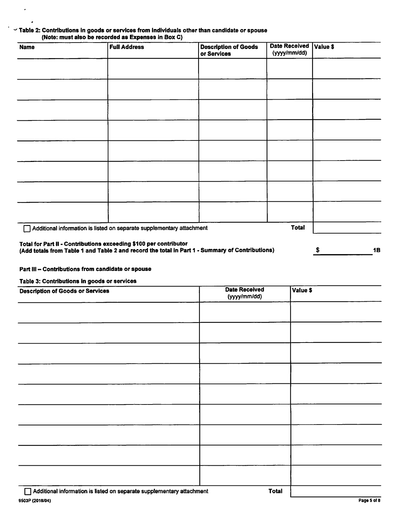#### *' Table 2: Contributions in goods orservices from individuals other than candidate or spouse (Note: must also be recorded as Expenses in Box C)*

| <b>Name</b>                                                       | <b>Full Address</b>                                                                             | <b>Description of Goods</b><br>or Services | <b>Date Received</b><br>(yyyy/mm/dd) | Value \$        |
|-------------------------------------------------------------------|-------------------------------------------------------------------------------------------------|--------------------------------------------|--------------------------------------|-----------------|
|                                                                   |                                                                                                 |                                            |                                      |                 |
|                                                                   |                                                                                                 |                                            |                                      |                 |
|                                                                   |                                                                                                 |                                            |                                      |                 |
|                                                                   |                                                                                                 |                                            |                                      |                 |
|                                                                   |                                                                                                 |                                            |                                      |                 |
|                                                                   |                                                                                                 |                                            |                                      |                 |
|                                                                   |                                                                                                 |                                            |                                      |                 |
|                                                                   |                                                                                                 |                                            |                                      |                 |
|                                                                   | Additional information is listed on separate supplementary attachment                           |                                            | <b>Total</b>                         |                 |
| Total for Part II - Contributions exceeding \$100 per contributor | (Add totals from Table 1 and Table 2 and record the total in Part 1 - Summary of Contributions) |                                            |                                      | <b>1B</b><br>\$ |

## *Part III- Contributions from candidate or spouse*

*Table 3: Contributions in goods or services*

 $\cdot$ 

 $\ddot{\phantom{0}}$ 

| <b>Description of Goods or Services</b> | <b>Date Received</b><br>(yyyy/mm/dd) | Value \$ |
|-----------------------------------------|--------------------------------------|----------|
|                                         |                                      |          |
|                                         |                                      |          |
|                                         |                                      |          |
|                                         |                                      |          |
|                                         |                                      |          |
|                                         |                                      |          |
|                                         |                                      |          |
|                                         |                                      |          |
|                                         |                                      |          |
| —                                       |                                      |          |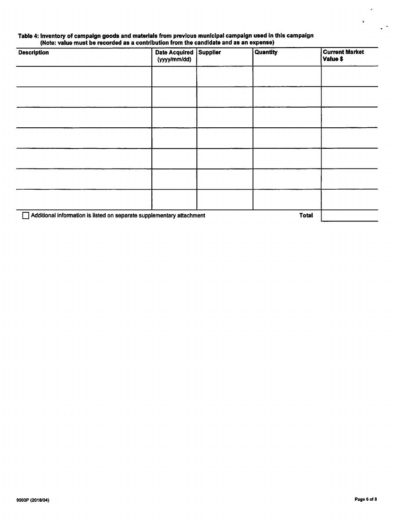#### *Table 4: Inventory of campaign goods and materials from previous municipal campaign used in this campaign (Note: value must be recorded as a contribution from the candidate and as an expense)*

| <b>Description</b>                                                                    | Date Acquired Supplier<br>(yyyy/mm/dd) |  | <b>Quantity</b> | <b>Current Market</b><br>Value \$ |
|---------------------------------------------------------------------------------------|----------------------------------------|--|-----------------|-----------------------------------|
|                                                                                       |                                        |  |                 |                                   |
|                                                                                       |                                        |  |                 |                                   |
|                                                                                       |                                        |  |                 |                                   |
|                                                                                       |                                        |  |                 |                                   |
|                                                                                       |                                        |  |                 |                                   |
|                                                                                       |                                        |  |                 |                                   |
|                                                                                       |                                        |  |                 |                                   |
| Additional information is listed on separate supplementary attachment<br><b>Total</b> |                                        |  |                 |                                   |

k,

 $\ddot{\phantom{1}}$ 

 $\ddot{\phantom{0}}$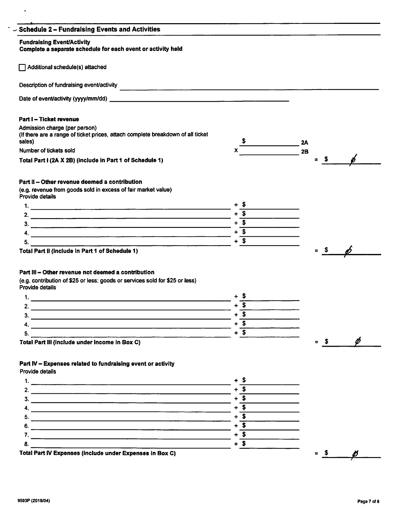| $\backsim$ Schedule 2 – Fundraising Events and Activities                                                 |                          |           |               |
|-----------------------------------------------------------------------------------------------------------|--------------------------|-----------|---------------|
| <b>Fundraising Event/Activity</b><br>Complete a separate schedule for each event or activity held         |                          |           |               |
|                                                                                                           |                          |           |               |
| Additional schedule(s) attached                                                                           |                          |           |               |
| Description of fundraising event/activity<br><u> 1980 - Andrea Andrew Armeni, Amerikaansk politiker (</u> |                          |           |               |
|                                                                                                           |                          |           |               |
| Part I - Ticket revenue                                                                                   |                          |           |               |
| Admission charge (per person)                                                                             |                          |           |               |
| (If there are a range of ticket prices, attach complete breakdown of all ticket                           |                          |           |               |
| sales)<br>Number of tickets sold                                                                          |                          | 2A        |               |
|                                                                                                           |                          | <b>2B</b> | $=$ \$ $\phi$ |
| Total Part I (2A X 2B) (include in Part 1 of Schedule 1)                                                  |                          |           |               |
| Part II - Other revenue deemed a contribution                                                             |                          |           |               |
| (e.g. revenue from goods sold in excess of fair market value)<br>Provide details                          |                          |           |               |
|                                                                                                           |                          |           |               |
|                                                                                                           | $+$ \$                   |           |               |
| $\frac{3}{2}$                                                                                             | $+\overline{\$}$         |           |               |
| 4.                                                                                                        | $+$ \$                   |           |               |
| 5.                                                                                                        | + S                      |           |               |
| Total Part II (include in Part 1 of Schedule 1)                                                           |                          | $=$ \$    |               |
|                                                                                                           |                          |           |               |
| Part III - Other revenue not deemed a contribution                                                        |                          |           |               |
| (e.g. contribution of \$25 or less; goods or services sold for \$25 or less)<br>Provide details           |                          |           |               |
| <u> 1989 - Johann Barn, amerikansk politiker (d. 1989)</u>                                                |                          |           |               |
| 2.                                                                                                        | $+$ \$                   |           |               |
| 3.                                                                                                        | $\sqrt{3}$<br>٠          |           |               |
|                                                                                                           | $+$ \$                   |           |               |
| 5.                                                                                                        | $+\overline{\textbf{S}}$ |           |               |
|                                                                                                           |                          |           | $=$ \$ $\phi$ |
| Total Part III (include under income in Box C)                                                            |                          |           |               |
| Part IV - Expenses related to fundraising event or activity                                               |                          |           |               |
| Provide details                                                                                           |                          |           |               |
| 1.                                                                                                        |                          |           |               |
| 2.                                                                                                        | $+\overline{\textbf{S}}$ |           |               |

3.  $+$  \$ 4.  $\frac{4}{5}$ .  $5.$   $\overline{\phantom{0}}$ 6. *+*\_\$  $\overline{8}$ .  $7.$  $\overline{\phantom{a}}$ Total Part IV Expenses (include under Expenses in Box C)  $=$   $\frac{\ }{s}$   $=$   $\frac{\cancel{0}}{s}$ 

 $\mathcal{L}_{\mathcal{A}}$